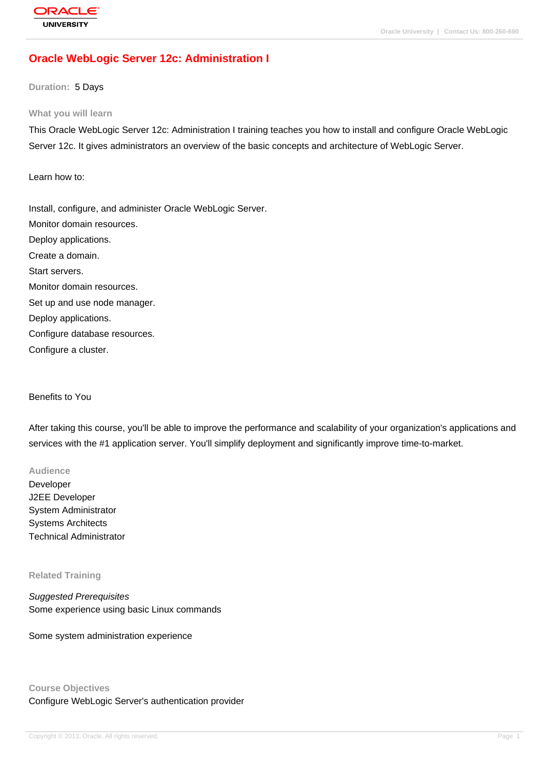## **[Oracle WebLog](http://education.oracle.com/pls/web_prod-plq-dad/db_pages.getpage?page_id=3)ic Server 12c: Administration I**

**Duration:** 5 Days

#### **What you will learn**

This Oracle WebLogic Server 12c: Administration I training teaches you how to install and configure Oracle WebLogic Server 12c. It gives administrators an overview of the basic concepts and architecture of WebLogic Server.

### Learn how to:

Install, configure, and administer Oracle WebLogic Server. Monitor domain resources. Deploy applications. Create a domain. Start servers. Monitor domain resources. Set up and use node manager. Deploy applications. Configure database resources.

Configure a cluster.

### Benefits to You

After taking this course, you'll be able to improve the performance and scalability of your organization's applications and services with the #1 application server. You'll simplify deployment and significantly improve time-to-market.

### **Audience**

Developer J2EE Developer System Administrator Systems Architects Technical Administrator

#### **Related Training**

Suggested Prerequisites Some experience using basic Linux commands

Some system administration experience

### **Course Objectives**

Configure WebLogic Server's authentication provider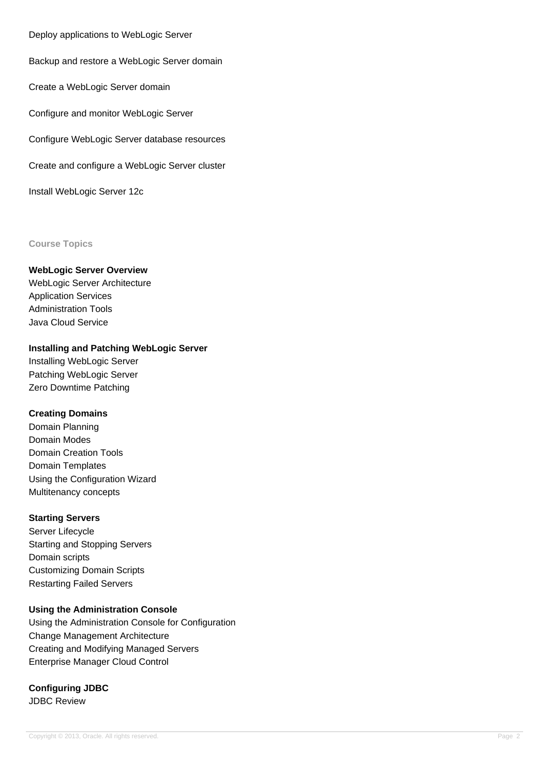Deploy applications to WebLogic Server

Backup and restore a WebLogic Server domain

Create a WebLogic Server domain

Configure and monitor WebLogic Server

Configure WebLogic Server database resources

Create and configure a WebLogic Server cluster

Install WebLogic Server 12c

### **Course Topics**

### **WebLogic Server Overview**

WebLogic Server Architecture Application Services Administration Tools Java Cloud Service

### **Installing and Patching WebLogic Server**

Installing WebLogic Server Patching WebLogic Server Zero Downtime Patching

### **Creating Domains**

Domain Planning Domain Modes Domain Creation Tools Domain Templates Using the Configuration Wizard Multitenancy concepts

### **Starting Servers**

Server Lifecycle Starting and Stopping Servers Domain scripts Customizing Domain Scripts Restarting Failed Servers

## **Using the Administration Console**

Using the Administration Console for Configuration Change Management Architecture Creating and Modifying Managed Servers Enterprise Manager Cloud Control

# **Configuring JDBC**

JDBC Review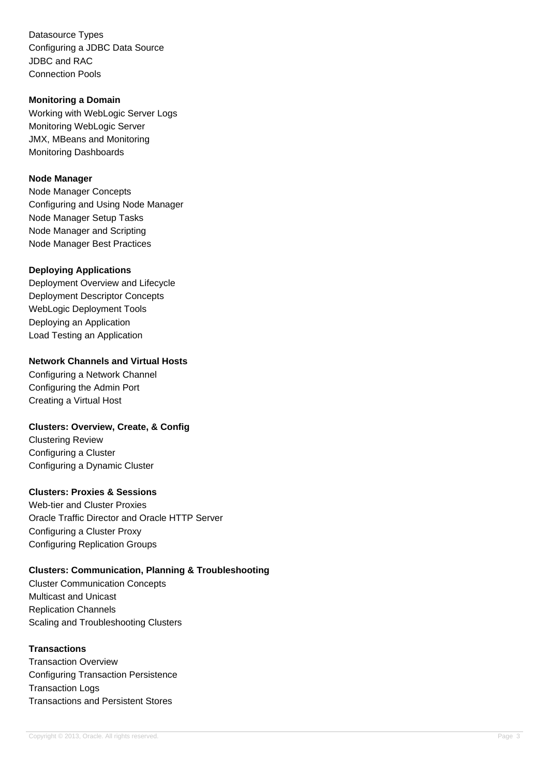Datasource Types Configuring a JDBC Data Source JDBC and RAC Connection Pools

### **Monitoring a Domain**

Working with WebLogic Server Logs Monitoring WebLogic Server JMX, MBeans and Monitoring Monitoring Dashboards

### **Node Manager**

Node Manager Concepts Configuring and Using Node Manager Node Manager Setup Tasks Node Manager and Scripting Node Manager Best Practices

## **Deploying Applications**

Deployment Overview and Lifecycle Deployment Descriptor Concepts WebLogic Deployment Tools Deploying an Application Load Testing an Application

## **Network Channels and Virtual Hosts**

Configuring a Network Channel Configuring the Admin Port Creating a Virtual Host

## **Clusters: Overview, Create, & Config**

Clustering Review Configuring a Cluster Configuring a Dynamic Cluster

## **Clusters: Proxies & Sessions**

Web-tier and Cluster Proxies Oracle Traffic Director and Oracle HTTP Server Configuring a Cluster Proxy Configuring Replication Groups

# **Clusters: Communication, Planning & Troubleshooting**

Cluster Communication Concepts Multicast and Unicast Replication Channels Scaling and Troubleshooting Clusters

# **Transactions**

Transaction Overview Configuring Transaction Persistence Transaction Logs Transactions and Persistent Stores